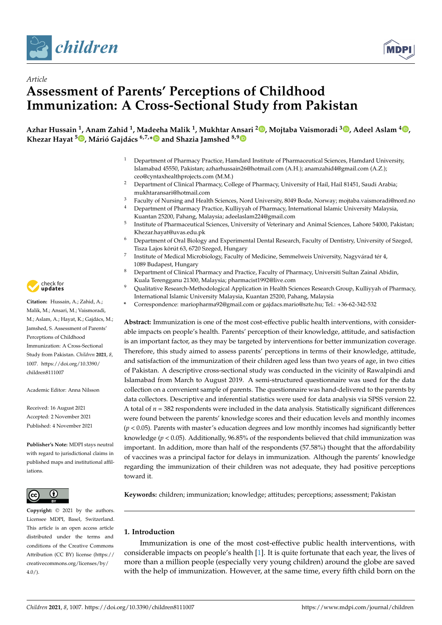

*Article*



# **Assessment of Parents' Perceptions of Childhood Immunization: A Cross-Sectional Study from Pakistan**

**Azhar Hussain <sup>1</sup> , Anam Zahid <sup>1</sup> , Madeeha Malik <sup>1</sup> , Mukhtar Ansari <sup>2</sup> [,](https://orcid.org/0000-0002-5247-6356) Mojtaba Vaismoradi <sup>3</sup> [,](https://orcid.org/0000-0002-5157-4886) Adeel Aslam <sup>4</sup> [,](https://orcid.org/0000-0002-3436-1467) Khezar Hayat <sup>5</sup> [,](https://orcid.org/0000-0001-7984-1870) Márió Gajdács 6,7,[\\*](https://orcid.org/0000-0003-1270-0365) and Shazia Jamshed 8,[9](https://orcid.org/0000-0003-0773-0463)**

- <sup>1</sup> Department of Pharmacy Practice, Hamdard Institute of Pharmaceutical Sciences, Hamdard University, Islamabad 45550, Pakistan; azharhussain26@hotmail.com (A.H.); anamzahid4@gmail.com (A.Z.); ceo@cyntaxhealthprojects.com (M.M.)
- <sup>2</sup> Department of Clinical Pharmacy, College of Pharmacy, University of Hail, Hail 81451, Saudi Arabia; mukhtaransari@hotmail.com
- <sup>3</sup> Faculty of Nursing and Health Sciences, Nord University, 8049 Bodø, Norway; mojtaba.vaismoradi@nord.no<br><sup>4</sup> Department of Pharmacy Practice, Kulliwyah of Pharmacy International Islamic University Malaysia
- <sup>4</sup> Department of Pharmacy Practice, Kulliyyah of Pharmacy, International Islamic University Malaysia, Kuantan 25200, Pahang, Malaysia; adeelaslam224@gmail.com
- 5 Institute of Pharmaceutical Sciences, University of Veterinary and Animal Sciences, Lahore 54000, Pakistan; Khezar.hayat@uvas.edu.pk
- <sup>6</sup> Department of Oral Biology and Experimental Dental Research, Faculty of Dentistry, University of Szeged, Tisza Lajos körút 63, 6720 Szeged, Hungary 7
- Institute of Medical Microbiology, Faculty of Medicine, Semmelweis University, Nagyvárad tér 4, 1089 Budapest, Hungary
- <sup>8</sup> Department of Clinical Pharmacy and Practice, Faculty of Pharmacy, Universiti Sultan Zainal Abidin, Kuala Terengganu 21300, Malaysia; pharmacist1992@live.com
- <sup>9</sup> Qualitative Research-Methodological Application in Health Sciences Research Group, Kulliyyah of Pharmacy, International Islamic University Malaysia, Kuantan 25200, Pahang, Malaysia
- **\*** Correspondence: mariopharma92@gmail.com or gajdacs.mario@szte.hu; Tel.: +36-62-342-532

**Abstract:** Immunization is one of the most cost-effective public health interventions, with considerable impacts on people's health. Parents' perception of their knowledge, attitude, and satisfaction is an important factor, as they may be targeted by interventions for better immunization coverage. Therefore, this study aimed to assess parents' perceptions in terms of their knowledge, attitude, and satisfaction of the immunization of their children aged less than two years of age, in two cities of Pakistan. A descriptive cross-sectional study was conducted in the vicinity of Rawalpindi and Islamabad from March to August 2019. A semi-structured questionnaire was used for the data collection on a convenient sample of parents. The questionnaire was hand-delivered to the parents by data collectors. Descriptive and inferential statistics were used for data analysis via SPSS version 22. A total of *n* = 382 respondents were included in the data analysis. Statistically significant differences were found between the parents' knowledge scores and their education levels and monthly incomes (*p* < 0.05). Parents with master's education degrees and low monthly incomes had significantly better knowledge (*p* < 0.05). Additionally, 96.85% of the respondents believed that child immunization was important. In addition, more than half of the respondents (57.58%) thought that the affordability of vaccines was a principal factor for delays in immunization. Although the parents' knowledge regarding the immunization of their children was not adequate, they had positive perceptions toward it.

**Keywords:** children; immunization; knowledge; attitudes; perceptions; assessment; Pakistan

# **1. Introduction**

Immunization is one of the most cost-effective public health interventions, with considerable impacts on people's health [\[1\]](#page-9-0). It is quite fortunate that each year, the lives of more than a million people (especially very young children) around the globe are saved with the help of immunization. However, at the same time, every fifth child born on the



**Citation:** Hussain, A.; Zahid, A.; Malik, M.; Ansari, M.; Vaismoradi, M.; Aslam, A.; Hayat, K.; Gajdács, M.; Jamshed, S. Assessment of Parents' Perceptions of Childhood Immunization: A Cross-Sectional Study from Pakistan. *Children* **2021**, *8*, 1007. [https://doi.org/10.3390/](https://doi.org/10.3390/children8111007) [children8111007](https://doi.org/10.3390/children8111007)

Academic Editor: Anna Nilsson

Received: 16 August 2021 Accepted: 2 November 2021 Published: 4 November 2021

**Publisher's Note:** MDPI stays neutral with regard to jurisdictional claims in published maps and institutional affiliations.



**Copyright:** © 2021 by the authors. Licensee MDPI, Basel, Switzerland. This article is an open access article distributed under the terms and conditions of the Creative Commons Attribution (CC BY) license (https:/[/](https://creativecommons.org/licenses/by/4.0/) [creativecommons.org/licenses/by/](https://creativecommons.org/licenses/by/4.0/)  $4.0/$ ).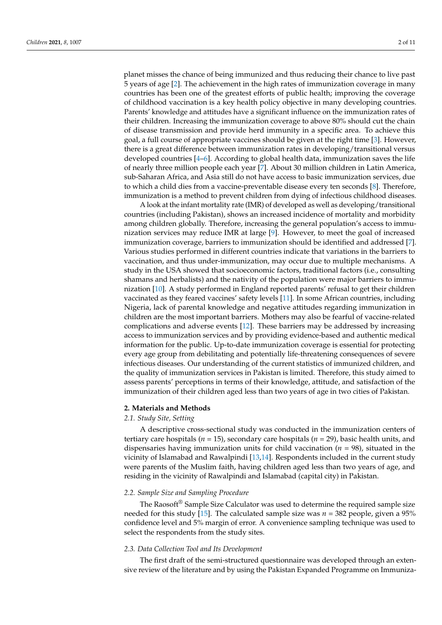planet misses the chance of being immunized and thus reducing their chance to live past 5 years of age [\[2\]](#page-9-1). The achievement in the high rates of immunization coverage in many countries has been one of the greatest efforts of public health; improving the coverage of childhood vaccination is a key health policy objective in many developing countries. Parents' knowledge and attitudes have a significant influence on the immunization rates of their children. Increasing the immunization coverage to above 80% should cut the chain of disease transmission and provide herd immunity in a specific area. To achieve this goal, a full course of appropriate vaccines should be given at the right time [\[3\]](#page-9-2). However, there is a great difference between immunization rates in developing/transitional versus developed countries  $[4-6]$  $[4-6]$ . According to global health data, immunization saves the life of nearly three million people each year [\[7\]](#page-10-1). About 30 million children in Latin America, sub-Saharan Africa, and Asia still do not have access to basic immunization services, due to which a child dies from a vaccine-preventable disease every ten seconds [\[8\]](#page-10-2). Therefore, immunization is a method to prevent children from dying of infectious childhood diseases.

A look at the infant mortality rate (IMR) of developed as well as developing/transitional countries (including Pakistan), shows an increased incidence of mortality and morbidity among children globally. Therefore, increasing the general population's access to immunization services may reduce IMR at large [\[9\]](#page-10-3). However, to meet the goal of increased immunization coverage, barriers to immunization should be identified and addressed [\[7\]](#page-10-1). Various studies performed in different countries indicate that variations in the barriers to vaccination, and thus under-immunization, may occur due to multiple mechanisms. A study in the USA showed that socioeconomic factors, traditional factors (i.e., consulting shamans and herbalists) and the nativity of the population were major barriers to immunization [\[10\]](#page-10-4). A study performed in England reported parents' refusal to get their children vaccinated as they feared vaccines' safety levels [\[11\]](#page-10-5). In some African countries, including Nigeria, lack of parental knowledge and negative attitudes regarding immunization in children are the most important barriers. Mothers may also be fearful of vaccine-related complications and adverse events [\[12\]](#page-10-6). These barriers may be addressed by increasing access to immunization services and by providing evidence-based and authentic medical information for the public. Up-to-date immunization coverage is essential for protecting every age group from debilitating and potentially life-threatening consequences of severe infectious diseases. Our understanding of the current statistics of immunized children, and the quality of immunization services in Pakistan is limited. Therefore, this study aimed to assess parents' perceptions in terms of their knowledge, attitude, and satisfaction of the immunization of their children aged less than two years of age in two cities of Pakistan.

#### **2. Materials and Methods**

#### *2.1. Study Site, Setting*

A descriptive cross-sectional study was conducted in the immunization centers of tertiary care hospitals (*n* = 15), secondary care hospitals (*n* = 29), basic health units, and dispensaries having immunization units for child vaccination (*n* = 98), situated in the vicinity of Islamabad and Rawalpindi [\[13,](#page-10-7)[14\]](#page-10-8). Respondents included in the current study were parents of the Muslim faith, having children aged less than two years of age, and residing in the vicinity of Rawalpindi and Islamabad (capital city) in Pakistan.

# *2.2. Sample Size and Sampling Procedure*

The Raosoft<sup>®</sup> Sample Size Calculator was used to determine the required sample size needed for this study [\[15\]](#page-10-9). The calculated sample size was  $n = 382$  people, given a 95% confidence level and 5% margin of error. A convenience sampling technique was used to select the respondents from the study sites.

#### *2.3. Data Collection Tool and Its Development*

The first draft of the semi-structured questionnaire was developed through an extensive review of the literature and by using the Pakistan Expanded Programme on Immuniza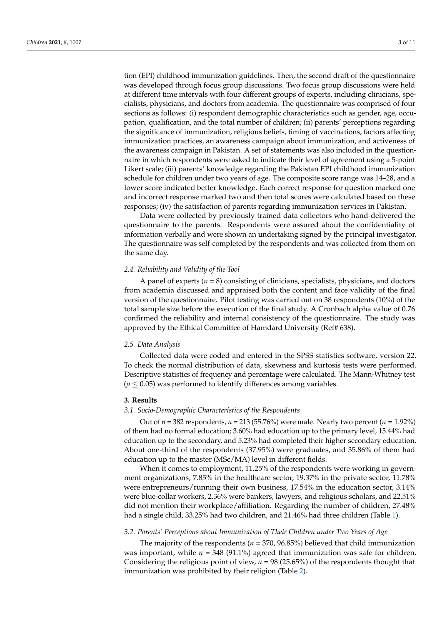tion (EPI) childhood immunization guidelines. Then, the second draft of the questionnaire was developed through focus group discussions. Two focus group discussions were held at different time intervals with four different groups of experts, including clinicians, specialists, physicians, and doctors from academia. The questionnaire was comprised of four sections as follows: (i) respondent demographic characteristics such as gender, age, occupation, qualification, and the total number of children; (ii) parents' perceptions regarding the significance of immunization, religious beliefs, timing of vaccinations, factors affecting immunization practices, an awareness campaign about immunization, and activeness of the awareness campaign in Pakistan. A set of statements was also included in the questionnaire in which respondents were asked to indicate their level of agreement using a 5-point Likert scale; (iii) parents' knowledge regarding the Pakistan EPI childhood immunization schedule for children under two years of age. The composite score range was 14–28, and a lower score indicated better knowledge. Each correct response for question marked one and incorrect response marked two and then total scores were calculated based on these responses; (iv) the satisfaction of parents regarding immunization services in Pakistan.

Data were collected by previously trained data collectors who hand-delivered the questionnaire to the parents. Respondents were assured about the confidentiality of information verbally and were shown an undertaking signed by the principal investigator. The questionnaire was self-completed by the respondents and was collected from them on the same day.

#### *2.4. Reliability and Validity of the Tool*

A panel of experts  $(n = 8)$  consisting of clinicians, specialists, physicians, and doctors from academia discussed and appraised both the content and face validity of the final version of the questionnaire. Pilot testing was carried out on 38 respondents (10%) of the total sample size before the execution of the final study. A Cronbach alpha value of 0.76 confirmed the reliability and internal consistency of the questionnaire. The study was approved by the Ethical Committee of Hamdard University (Ref# 638).

# *2.5. Data Analysis*

Collected data were coded and entered in the SPSS statistics software, version 22. To check the normal distribution of data, skewness and kurtosis tests were performed. Descriptive statistics of frequency and percentage were calculated. The Mann-Whitney test  $(p \leq 0.05)$  was performed to identify differences among variables.

## **3. Results**

# *3.1. Socio-Demographic Characteristics of the Respondents*

Out of *n* = 382 respondents, *n* = 213 (55.76%) were male. Nearly two percent (*n* = 1.92%) of them had no formal education; 3.60% had education up to the primary level, 15.44% had education up to the secondary, and 5.23% had completed their higher secondary education. About one-third of the respondents (37.95%) were graduates, and 35.86% of them had education up to the master (MSc/MA) level in different fields.

When it comes to employment, 11.25% of the respondents were working in government organizations, 7.85% in the healthcare sector, 19.37% in the private sector, 11.78% were entrepreneurs/running their own business, 17.54% in the education sector, 3.14% were blue-collar workers, 2.36% were bankers, lawyers, and religious scholars, and 22.51% did not mention their workplace/affiliation. Regarding the number of children, 27.48% had a single child, 33.25% had two children, and 21.46% had three children (Table [1\)](#page-3-0).

#### *3.2. Parents' Perceptions about Immunization of Their Children under Two Years of Age*

The majority of the respondents (*n* = 370, 96.85%) believed that child immunization was important, while  $n = 348$  (91.1%) agreed that immunization was safe for children. Considering the religious point of view, *n* = 98 (25.65%) of the respondents thought that immunization was prohibited by their religion (Table [2\)](#page-3-1).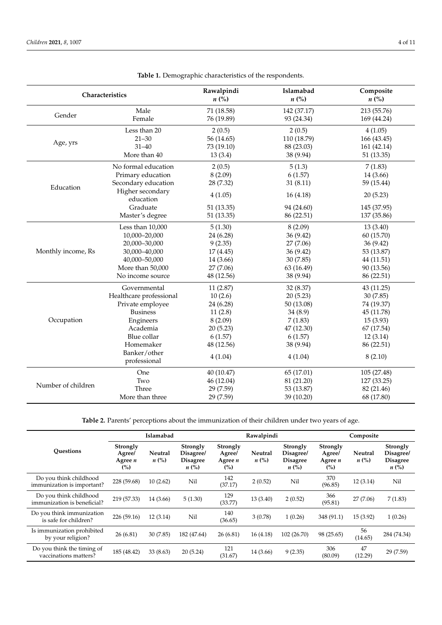<span id="page-3-0"></span>

| Characteristics    |                               | Rawalpindi<br>$n\ (\%)$ | Islamabad<br>$n\left(\%\right)$ | Composite<br>$n\left(\%\right)$ |
|--------------------|-------------------------------|-------------------------|---------------------------------|---------------------------------|
|                    | Male                          | 71 (18.58)              | 142 (37.17)                     | 213 (55.76)                     |
| Gender             | Female                        | 76 (19.89)              | 93 (24.34)                      | 169 (44.24)                     |
|                    | Less than 20                  | 2(0.5)                  | 2(0.5)                          | 4(1.05)                         |
| Age, yrs           | $21 - 30$                     | 56 (14.65)              | 110 (18.79)                     | 166 (43.45)                     |
|                    | $31 - 40$                     | 73 (19.10)              | 88 (23.03)                      | 161 (42.14)                     |
|                    | More than 40                  | 13(3.4)                 | 38 (9.94)                       | 51 (13.35)                      |
|                    | No formal education           | 2(0.5)                  | 5(1.3)                          | 7(1.83)                         |
|                    | Primary education             | 8(2.09)                 | 6(1.57)                         | 14 (3.66)                       |
| Education          | Secondary education           | 28 (7.32)               | 31(8.11)                        | 59 (15.44)                      |
|                    | Higher secondary<br>education | 4(1.05)                 | 16(4.18)                        | 20(5.23)                        |
|                    | Graduate                      | 51 (13.35)              | 94 (24.60)                      | 145 (37.95)                     |
|                    | Master's degree               | 51 (13.35)              | 86 (22.51)                      | 137 (35.86)                     |
|                    | Less than 10,000              | 5(1.30)                 | 8(2.09)                         | 13(3.40)                        |
|                    | 10,000-20,000                 | 24 (6.28)               | 36 (9.42)                       | 60 (15.70)                      |
|                    | 20,000-30,000                 | 9(2.35)                 | 27 (7.06)                       | 36(9.42)                        |
| Monthly income, Rs | 30,000-40,000                 | 17 (4.45)               | 36(9.42)                        | 53 (13.87)                      |
|                    | 40,000-50,000                 | 14 (3.66)               | 30 (7.85)                       | 44 (11.51)                      |
|                    | More than 50,000              | 27(7.06)                | 63 (16.49)                      | 90 (13.56)                      |
|                    | No income source              | 48 (12.56)              | 38 (9.94)                       | 86 (22.51)                      |
|                    | Governmental                  | 11(2.87)                | 32 (8.37)                       | 43 (11.25)                      |
|                    | Healthcare professional       | 10(2.6)                 | 20(5.23)                        | 30(7.85)                        |
|                    | Private employee              | 24 (6.28)               | 50 (13.08)                      | 74 (19.37)                      |
|                    | <b>Business</b>               | 11(2.8)                 | 34(8.9)                         | 45 (11.78)                      |
| Occupation         | Engineers                     | 8(2.09)                 | 7(1.83)                         | 15(3.93)                        |
|                    | Academia                      | 20(5.23)                | 47 (12.30)                      | 67 (17.54)                      |
|                    | Blue collar                   | 6(1.57)                 | 6(1.57)                         | 12(3.14)                        |
|                    | Homemaker                     | 48 (12.56)              | 38 (9.94)                       | 86 (22.51)                      |
|                    | Banker/other<br>professional  | 4(1.04)                 | 4(1.04)                         | 8(2.10)                         |
|                    | One                           | 40 (10.47)              | 65 (17.01)                      | 105 (27.48)                     |
|                    | Two                           | 46 (12.04)              | 81 (21.20)                      | 127 (33.25)                     |
| Number of children | Three                         | 29 (7.59)               | 53 (13.87)                      | 82 (21.46)                      |
|                    | More than three               | 29 (7.59)               | 39 (10.20)                      | 68 (17.80)                      |

**Table 1.** Demographic characteristics of the respondents.

**Table 2.** Parents' perceptions about the immunization of their children under two years of age.

<span id="page-3-1"></span>

|                                                       |                                        | Islamabad            |                                                       |                                        | Rawalpindi                    |                                                       |                                        | Composite                     |                                                       |
|-------------------------------------------------------|----------------------------------------|----------------------|-------------------------------------------------------|----------------------------------------|-------------------------------|-------------------------------------------------------|----------------------------------------|-------------------------------|-------------------------------------------------------|
| <b>Ouestions</b>                                      | Strongly<br>Agree/<br>Agree $n$<br>(%) | Neutral<br>$n\ (\%)$ | Strongly<br>Disagree/<br><b>Disagree</b><br>$n\ (\%)$ | Strongly<br>Agree/<br>Agree $n$<br>(%) | Neutral<br>$n\left(\%\right)$ | Strongly<br>Disagree/<br><b>Disagree</b><br>$n\ (\%)$ | Strongly<br>Agree/<br>Agree $n$<br>(%) | Neutral<br>$n\left(\%\right)$ | Strongly<br>Disagree/<br><b>Disagree</b><br>$n\ (\%)$ |
| Do you think childhood<br>immunization is important?  | 228 (59.68)                            | 10(2.62)             | Nil                                                   | 142<br>(37.17)                         | 2(0.52)                       | Nil                                                   | 370<br>(96.85)                         | 12(3.14)                      | Nil                                                   |
| Do you think childhood<br>immunization is beneficial? | 219 (57.33)                            | 14 (3.66)            | 5(1.30)                                               | 129<br>(33.77)                         | 13(3.40)                      | 2(0.52)                                               | 366<br>(95.81)                         | 27(7.06)                      | 7(1.83)                                               |
| Do you think immunization<br>is safe for children?    | 226 (59.16)                            | 12(3.14)             | Nil                                                   | 140<br>(36.65)                         | 3(0.78)                       | 1(0.26)                                               | 348 (91.1)                             | 15(3.92)                      | 1(0.26)                                               |
| Is immunization prohibited<br>by your religion?       | 26(6.81)                               | 30 (7.85)            | 182 (47.64)                                           | 26(6.81)                               | 16(4.18)                      | 102 (26.70)                                           | 98 (25.65)                             | 56<br>(14.65)                 | 284 (74.34)                                           |
| Do you think the timing of<br>vaccinations matters?   | 185 (48.42)                            | 33 (8.63)            | 20(5.24)                                              | 121<br>(31.67)                         | 14 (3.66)                     | 9(2.35)                                               | 306<br>(80.09)                         | 47<br>(12.29)                 | 29 (7.59)                                             |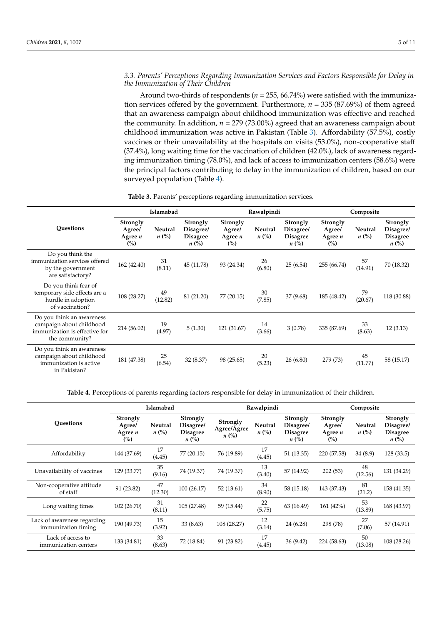# *3.3. Parents' Perceptions Regarding Immunization Services and Factors Responsible for Delay in the Immunization of Their Children*

Around two-thirds of respondents (*n* = 255, 66.74%) were satisfied with the immunization services offered by the government. Furthermore, *n* = 335 (87.69%) of them agreed that an awareness campaign about childhood immunization was effective and reached the community. In addition, *n* = 279 (73.00%) agreed that an awareness campaign about childhood immunization was active in Pakistan (Table [3\)](#page-4-0). Affordability (57.5%), costly vaccines or their unavailability at the hospitals on visits (53.0%), non-cooperative staff (37.4%), long waiting time for the vaccination of children (42.0%), lack of awareness regarding immunization timing (78.0%), and lack of access to immunization centers (58.6%) were the principal factors contributing to delay in the immunization of children, based on our surveyed population (Table [4\)](#page-4-1).

<span id="page-4-0"></span>

|                                                                                                          | Islamabad                                     |                      |                                                       |                                        | Rawalpindi           |                                                       |                                        | Composite            |                                                       |  |
|----------------------------------------------------------------------------------------------------------|-----------------------------------------------|----------------------|-------------------------------------------------------|----------------------------------------|----------------------|-------------------------------------------------------|----------------------------------------|----------------------|-------------------------------------------------------|--|
| <b>Ouestions</b>                                                                                         | <b>Strongly</b><br>Agree/<br>Agree $n$<br>(%) | Neutral<br>$n\ (\%)$ | Strongly<br>Disagree/<br><b>Disagree</b><br>$n\ (\%)$ | Strongly<br>Agree/<br>Agree $n$<br>(%) | Neutral<br>$n\ (\%)$ | Strongly<br>Disagree/<br><b>Disagree</b><br>$n\ (\%)$ | Strongly<br>Agree/<br>Agree $n$<br>(%) | Neutral<br>$n\ (\%)$ | Strongly<br>Disagree/<br><b>Disagree</b><br>$n\ (\%)$ |  |
| Do you think the<br>immunization services offered<br>by the government<br>are satisfactory?              | 162 (42.40)                                   | 31<br>(8.11)         | 45 (11.78)                                            | 93 (24.34)                             | 26<br>(6.80)         | 25(6.54)                                              | 255 (66.74)                            | 57<br>(14.91)        | 70 (18.32)                                            |  |
| Do you think fear of<br>temporary side effects are a<br>hurdle in adoption<br>of vaccination?            | 108 (28.27)                                   | 49<br>(12.82)        | 81 (21.20)                                            | 77 (20.15)                             | 30<br>(7.85)         | 37 (9.68)                                             | 185 (48.42)                            | 79<br>(20.67)        | 118 (30.88)                                           |  |
| Do you think an awareness<br>campaign about childhood<br>immunization is effective for<br>the community? | 214 (56.02)                                   | 19<br>(4.97)         | 5(1.30)                                               | 121 (31.67)                            | 14<br>(3.66)         | 3(0.78)                                               | 335 (87.69)                            | 33<br>(8.63)         | 12(3.13)                                              |  |
| Do you think an awareness<br>campaign about childhood<br>immunization is active<br>in Pakistan?          | 181 (47.38)                                   | 25<br>(6.54)         | 32 (8.37)                                             | 98 (25.65)                             | 20<br>(5.23)         | 26 (6.80)                                             | 279 (73)                               | 45<br>(11.77)        | 58 (15.17)                                            |  |

**Table 3.** Parents' perceptions regarding immunization services.

**Table 4.** Perceptions of parents regarding factors responsible for delay in immunization of their children.

<span id="page-4-1"></span>

|                                                    |                                        | Islamabad                            |                                                       |                                               | Rawalpindi           |                                                       |                                                  | Composite            |                                                       |  |
|----------------------------------------------------|----------------------------------------|--------------------------------------|-------------------------------------------------------|-----------------------------------------------|----------------------|-------------------------------------------------------|--------------------------------------------------|----------------------|-------------------------------------------------------|--|
| <b>Ouestions</b>                                   | Strongly<br>Agree/<br>Agree $n$<br>(%) | <b>Neutral</b><br>$n\left(\%\right)$ | Strongly<br>Disagree/<br><b>Disagree</b><br>$n\ (\%)$ | Strongly<br>Agree/Agree<br>$n\left(\%\right)$ | Neutral<br>$n\ (\%)$ | Strongly<br>Disagree/<br><b>Disagree</b><br>$n\ (\%)$ | Strongly<br>Agree/<br>Agree $n$<br>$\frac{6}{2}$ | Neutral<br>$n\ (\%)$ | Strongly<br>Disagree/<br><b>Disagree</b><br>$n\ (\%)$ |  |
| Affordability                                      | 144 (37.69)                            | 17<br>(4.45)                         | 77 (20.15)                                            | 76 (19.89)                                    | 17<br>(4.45)         | 51 (13.35)                                            | 220 (57.58)                                      | 34(8.9)              | 128(33.5)                                             |  |
| Unavailability of vaccines                         | 129 (33.77)                            | 35<br>(9.16)                         | 74 (19.37)                                            | 74 (19.37)                                    | 13<br>(3.40)         | 57 (14.92)                                            | 202(53)                                          | 48<br>(12.56)        | 131 (34.29)                                           |  |
| Non-cooperative attitude<br>of staff               | 91 (23.82)                             | 47<br>(12.30)                        | 100(26.17)                                            | 52(13.61)                                     | 34<br>(8.90)         | 58 (15.18)                                            | 143 (37.43)                                      | 81<br>(21.2)         | 158 (41.35)                                           |  |
| Long waiting times                                 | 102 (26.70)                            | 31<br>(8.11)                         | 105 (27.48)                                           | 59 (15.44)                                    | 22<br>(5.75)         | 63 (16.49)                                            | 161 (42%)                                        | 53<br>(13.89)        | 168 (43.97)                                           |  |
| Lack of awareness regarding<br>immunization timing | 190 (49.73)                            | 15<br>(3.92)                         | 33(8.63)                                              | 108 (28.27)                                   | 12<br>(3.14)         | 24 (6.28)                                             | 298 (78)                                         | 27<br>(7.06)         | 57 (14.91)                                            |  |
| Lack of access to<br>immunization centers          | 133 (34.81)                            | 33<br>(8.63)                         | 72 (18.84)                                            | 91 (23.82)                                    | 17<br>(4.45)         | 36(9.42)                                              | 224 (58.63)                                      | 50<br>(13.08)        | 108 (28.26)                                           |  |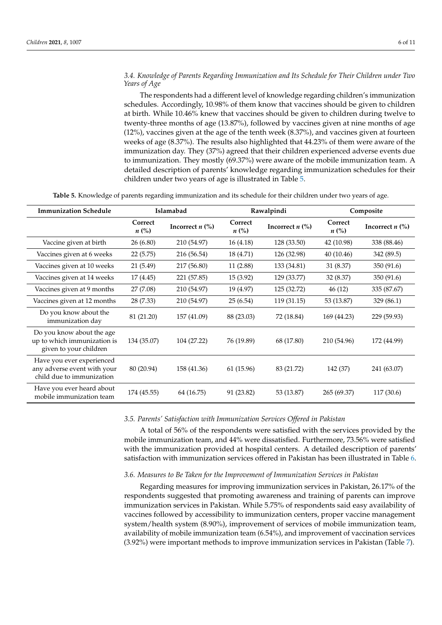# *3.4. Knowledge of Parents Regarding Immunization and Its Schedule for Their Children under Two Years of Age*

The respondents had a different level of knowledge regarding children's immunization schedules. Accordingly, 10.98% of them know that vaccines should be given to children at birth. While 10.46% knew that vaccines should be given to children during twelve to twenty-three months of age (13.87%), followed by vaccines given at nine months of age (12%), vaccines given at the age of the tenth week (8.37%), and vaccines given at fourteen weeks of age (8.37%). The results also highlighted that 44.23% of them were aware of the immunization day. They (37%) agreed that their children experienced adverse events due to immunization. They mostly (69.37%) were aware of the mobile immunization team. A detailed description of parents' knowledge regarding immunization schedules for their children under two years of age is illustrated in Table [5.](#page-5-0)

**Table 5.** Knowledge of parents regarding immunization and its schedule for their children under two years of age.

<span id="page-5-0"></span>

| <b>Immunization Schedule</b>                                                          | Islamabad            |                   |                      | Rawalpindi        | Composite            |                                  |  |
|---------------------------------------------------------------------------------------|----------------------|-------------------|----------------------|-------------------|----------------------|----------------------------------|--|
|                                                                                       | Correct<br>$n\ (\%)$ | Incorrect $n$ (%) | Correct<br>$n\ (\%)$ | Incorrect $n$ (%) | Correct<br>$n\ (\%)$ | Incorrect $n$ $\left(\% \right)$ |  |
| Vaccine given at birth                                                                | 26 (6.80)            | 210 (54.97)       | 16(4.18)             | 128 (33.50)       | 42 (10.98)           | 338 (88.46)                      |  |
| Vaccines given at 6 weeks                                                             | 22 (5.75)            | 216 (56.54)       | 18 (4.71)            | 126 (32.98)       | 40(10.46)            | 342 (89.5)                       |  |
| Vaccines given at 10 weeks                                                            | 21 (5.49)            | 217 (56.80)       | 11 (2.88)            | 133 (34.81)       | 31 (8.37)            | 350 (91.6)                       |  |
| Vaccines given at 14 weeks                                                            | 17 (4.45)            | 221 (57.85)       | 15 (3.92)            | 129 (33.77)       | 32 (8.37)            | 350 (91.6)                       |  |
| Vaccines given at 9 months                                                            | 27 (7.08)            | 210 (54.97)       | 19 (4.97)            | 125 (32.72)       | 46(12)               | 335 (87.67)                      |  |
| Vaccines given at 12 months                                                           | 28 (7.33)            | 210 (54.97)       | 25(6.54)             | 119 (31.15)       | 53 (13.87)           | 329 (86.1)                       |  |
| Do you know about the<br>immunization day                                             | 81 (21.20)           | 157 (41.09)       | 88 (23.03)           | 72 (18.84)        | 169 (44.23)          | 229 (59.93)                      |  |
| Do you know about the age<br>up to which immunization is<br>given to your children    | 134 (35.07)          | 104 (27.22)       | 76 (19.89)           | 68 (17.80)        | 210 (54.96)          | 172 (44.99)                      |  |
| Have you ever experienced<br>any adverse event with your<br>child due to immunization | 80 (20.94)           | 158 (41.36)       | 61 (15.96)           | 83 (21.72)        | 142 (37)             | 241 (63.07)                      |  |
| Have you ever heard about<br>mobile immunization team                                 | 174 (45.55)          | 64 (16.75)        | 91 (23.82)           | 53 (13.87)        | 265 (69.37)          | 117 (30.6)                       |  |

#### *3.5. Parents' Satisfaction with Immunization Services Offered in Pakistan*

A total of 56% of the respondents were satisfied with the services provided by the mobile immunization team, and 44% were dissatisfied. Furthermore, 73.56% were satisfied with the immunization provided at hospital centers. A detailed description of parents' satisfaction with immunization services offered in Pakistan has been illustrated in Table [6.](#page-6-0)

#### *3.6. Measures to Be Taken for the Improvement of Immunization Services in Pakistan*

Regarding measures for improving immunization services in Pakistan, 26.17% of the respondents suggested that promoting awareness and training of parents can improve immunization services in Pakistan. While 5.75% of respondents said easy availability of vaccines followed by accessibility to immunization centers, proper vaccine management system/health system (8.90%), improvement of services of mobile immunization team, availability of mobile immunization team (6.54%), and improvement of vaccination services (3.92%) were important methods to improve immunization services in Pakistan (Table [7\)](#page-6-1).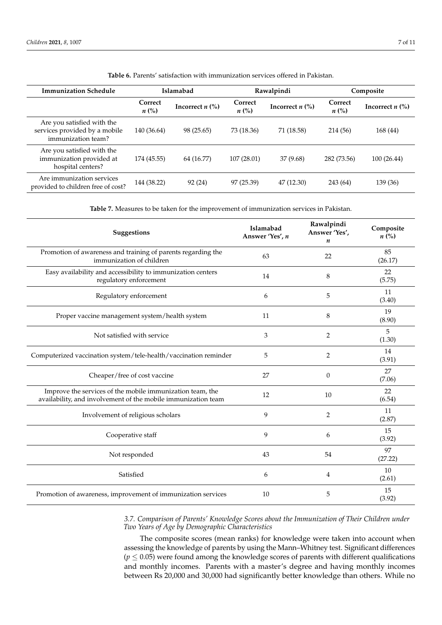<span id="page-6-0"></span>

| <b>Immunization Schedule</b>                                                      | Islamabad                     |                                  |                      | Rawalpindi                       | Composite            |                                  |
|-----------------------------------------------------------------------------------|-------------------------------|----------------------------------|----------------------|----------------------------------|----------------------|----------------------------------|
|                                                                                   | Correct<br>$n\left(\%\right)$ | Incorrect $n$ $\left(\% \right)$ | Correct<br>$n\ (\%)$ | Incorrect $n$ $\left(\% \right)$ | Correct<br>$n\ (\%)$ | Incorrect $n$ $\left(\% \right)$ |
| Are you satisfied with the<br>services provided by a mobile<br>immunization team? | 140 (36.64)                   | 98 (25.65)                       | 73 (18.36)           | 71 (18.58)                       | 214 (56)             | 168 (44)                         |
| Are you satisfied with the<br>immunization provided at<br>hospital centers?       | 174 (45.55)                   | 64 (16.77)                       | 107(28.01)           | 37 (9.68)                        | 282 (73.56)          | 100(26.44)                       |
| Are immunization services<br>provided to children free of cost?                   | 144 (38.22)                   | 92 (24)                          | 97 (25.39)           | 47 (12.30)                       | 243 (64)             | 139 (36)                         |

**Table 6.** Parents' satisfaction with immunization services offered in Pakistan.

**Table 7.** Measures to be taken for the improvement of immunization services in Pakistan.

<span id="page-6-1"></span>

| Suggestions                                                                                                                | Islamabad<br>Answer 'Yes', n | Rawalpindi<br>Answer 'Yes',<br>n | Composite<br>$n\ (\%)$ |
|----------------------------------------------------------------------------------------------------------------------------|------------------------------|----------------------------------|------------------------|
| Promotion of awareness and training of parents regarding the<br>immunization of children                                   | 63                           | 22                               | 85<br>(26.17)          |
| Easy availability and accessibility to immunization centers<br>regulatory enforcement                                      | 14                           | 8                                | 22<br>(5.75)           |
| Regulatory enforcement                                                                                                     | 6                            | 5                                | 11<br>(3.40)           |
| Proper vaccine management system/health system                                                                             | 11                           | 8                                | 19<br>(8.90)           |
| Not satisfied with service                                                                                                 | 3                            | $\overline{2}$                   | 5<br>(1.30)            |
| Computerized vaccination system/tele-health/vaccination reminder                                                           | 5                            | $\overline{2}$                   | 14<br>(3.91)           |
| Cheaper/free of cost vaccine                                                                                               | 27                           | $\mathbf{0}$                     | 27<br>(7.06)           |
| Improve the services of the mobile immunization team, the<br>availability, and involvement of the mobile immunization team | 12                           | 10                               | 22<br>(6.54)           |
| Involvement of religious scholars                                                                                          | 9                            | 2                                | 11<br>(2.87)           |
| Cooperative staff                                                                                                          | 9                            | 6                                | 15<br>(3.92)           |
| Not responded                                                                                                              | 43                           | 54                               | 97<br>(27.22)          |
| Satisfied                                                                                                                  | 6                            | 4                                | 10<br>(2.61)           |
| Promotion of awareness, improvement of immunization services                                                               | 10                           | 5                                | 15<br>(3.92)           |

*3.7. Comparison of Parents' Knowledge Scores about the Immunization of Their Children under Two Years of Age by Demographic Characteristics*

The composite scores (mean ranks) for knowledge were taken into account when assessing the knowledge of parents by using the Mann–Whitney test. Significant differences  $(p \leq 0.05)$  were found among the knowledge scores of parents with different qualifications and monthly incomes. Parents with a master's degree and having monthly incomes between Rs 20,000 and 30,000 had significantly better knowledge than others. While no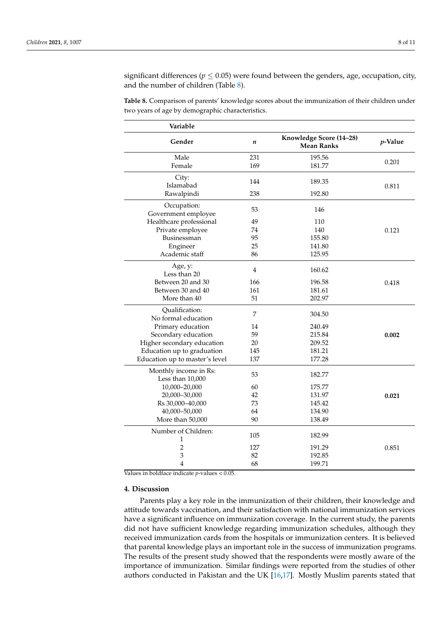significant differences ( $p \leq 0.05$ ) were found between the genders, age, occupation, city, and the number of children (Table [8\)](#page-7-0).

<span id="page-7-0"></span>**Table 8.** Comparison of parents' knowledge scores about the immunization of their children under two years of age by demographic characteristics.

| Variable                                  |                |                                              |            |
|-------------------------------------------|----------------|----------------------------------------------|------------|
| Gender                                    | n              | Knowledge Score (14-28)<br><b>Mean Ranks</b> | $p$ -Value |
| Male                                      | 231            | 195.56                                       |            |
| Female                                    | 169            | 181.77                                       | 0.201      |
| City:<br>Islamabad                        | 144            | 189.35                                       | 0.811      |
| Rawalpindi                                | 238            | 192.80                                       |            |
| Occupation:<br>Government employee        | 53             | 146                                          |            |
| Healthcare professional                   | 49             | 110                                          |            |
| Private employee                          | 74             | 140                                          | 0.121      |
| Businessman                               | 95             | 155.80                                       |            |
| Engineer                                  | 25             | 141.80                                       |            |
| Academic staff                            | 86             | 125.95                                       |            |
| Age, y:<br>Less than 20                   | $\overline{4}$ | 160.62                                       |            |
| Between 20 and 30                         | 166            | 196.58                                       | 0.418      |
| Between 30 and 40                         | 161            | 181.61                                       |            |
| More than 40                              | 51             | 202.97                                       |            |
| Qualification:<br>No formal education     | $\overline{7}$ | 304.50                                       |            |
| Primary education                         | 14             | 240.49                                       |            |
| Secondary education                       | 59             | 215.84                                       | 0.002      |
| Higher secondary education                | 20             | 209.52                                       |            |
| Education up to graduation                | 145            | 181.21                                       |            |
| Education up to master's level            | 137            | 177.28                                       |            |
| Monthly income in Rs:<br>Less than 10,000 | 53             | 182.77                                       |            |
| 10,000-20,000                             | 60             | 175.77                                       |            |
| 20,000-30,000                             | 42             | 131.97                                       | 0.021      |
| Rs 30,000-40,000                          | 73             | 145.42                                       |            |
| 40,000-50,000                             | 64             | 134.90                                       |            |
| More than 50,000                          | 90             | 138.49                                       |            |
| Number of Children:<br>1                  | 105            | 182.99                                       |            |
| $\overline{2}$                            | 127            | 191.29                                       | 0.851      |
| 3                                         | 82             | 192.85                                       |            |
| 4                                         | 68             | 199.71                                       |            |

Values in boldface indicate *p*-values < 0.05.

#### **4. Discussion**

Parents play a key role in the immunization of their children, their knowledge and attitude towards vaccination, and their satisfaction with national immunization services have a significant influence on immunization coverage. In the current study, the parents did not have sufficient knowledge regarding immunization schedules, although they received immunization cards from the hospitals or immunization centers. It is believed that parental knowledge plays an important role in the success of immunization programs. The results of the present study showed that the respondents were mostly aware of the importance of immunization. Similar findings were reported from the studies of other authors conducted in Pakistan and the UK [\[16](#page-10-10)[,17\]](#page-10-11). Mostly Muslim parents stated that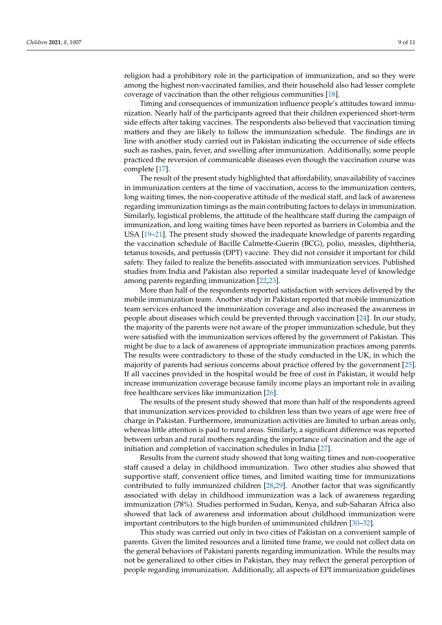religion had a prohibitory role in the participation of immunization, and so they were among the highest non-vaccinated families, and their household also had lesser complete coverage of vaccination than the other religious communities [\[18\]](#page-10-12).

Timing and consequences of immunization influence people's attitudes toward immunization. Nearly half of the participants agreed that their children experienced short-term side effects after taking vaccines. The respondents also believed that vaccination timing matters and they are likely to follow the immunization schedule. The findings are in line with another study carried out in Pakistan indicating the occurrence of side effects such as rashes, pain, fever, and swelling after immunization. Additionally, some people practiced the reversion of communicable diseases even though the vaccination course was complete [\[17\]](#page-10-11).

The result of the present study highlighted that affordability, unavailability of vaccines in immunization centers at the time of vaccination, access to the immunization centers, long waiting times, the non-cooperative attitude of the medical staff, and lack of awareness regarding immunization timings as the main contributing factors to delays in immunization. Similarly, logistical problems, the attitude of the healthcare staff during the campaign of immunization, and long waiting times have been reported as barriers in Colombia and the USA [\[19](#page-10-13)[–21\]](#page-10-14). The present study showed the inadequate knowledge of parents regarding the vaccination schedule of Bacille Calmette-Guerin (BCG), polio, measles, diphtheria, tetanus toxoids, and pertussis (DPT) vaccine. They did not consider it important for child safety. They failed to realize the benefits associated with immunization services. Published studies from India and Pakistan also reported a similar inadequate level of knowledge among parents regarding immunization [\[22](#page-10-15)[,23\]](#page-10-16).

More than half of the respondents reported satisfaction with services delivered by the mobile immunization team. Another study in Pakistan reported that mobile immunization team services enhanced the immunization coverage and also increased the awareness in people about diseases which could be prevented through vaccination [\[24\]](#page-10-17). In our study, the majority of the parents were not aware of the proper immunization schedule, but they were satisfied with the immunization services offered by the government of Pakistan. This might be due to a lack of awareness of appropriate immunization practices among parents. The results were contradictory to those of the study conducted in the UK, in which the majority of parents had serious concerns about practice offered by the government [\[25\]](#page-10-18). If all vaccines provided in the hospital would be free of cost in Pakistan, it would help increase immunization coverage because family income plays an important role in availing free healthcare services like immunization [\[26\]](#page-10-19).

The results of the present study showed that more than half of the respondents agreed that immunization services provided to children less than two years of age were free of charge in Pakistan. Furthermore, immunization activities are limited to urban areas only, whereas little attention is paid to rural areas. Similarly, a significant difference was reported between urban and rural mothers regarding the importance of vaccination and the age of initiation and completion of vaccination schedules in India [\[27\]](#page-10-20).

Results from the current study showed that long waiting times and non-cooperative staff caused a delay in childhood immunization. Two other studies also showed that supportive staff, convenient office times, and limited waiting time for immunizations contributed to fully immunized children [\[28,](#page-10-21)[29\]](#page-10-22). Another factor that was significantly associated with delay in childhood immunization was a lack of awareness regarding immunization (78%). Studies performed in Sudan, Kenya, and sub-Saharan Africa also showed that lack of awareness and information about childhood immunization were important contributors to the high burden of unimmunized children [\[30–](#page-10-23)[32\]](#page-10-24).

This study was carried out only in two cities of Pakistan on a convenient sample of parents. Given the limited resources and a limited time frame, we could not collect data on the general behaviors of Pakistani parents regarding immunization. While the results may not be generalized to other cities in Pakistan, they may reflect the general perception of people regarding immunization. Additionally, all aspects of EPI immunization guidelines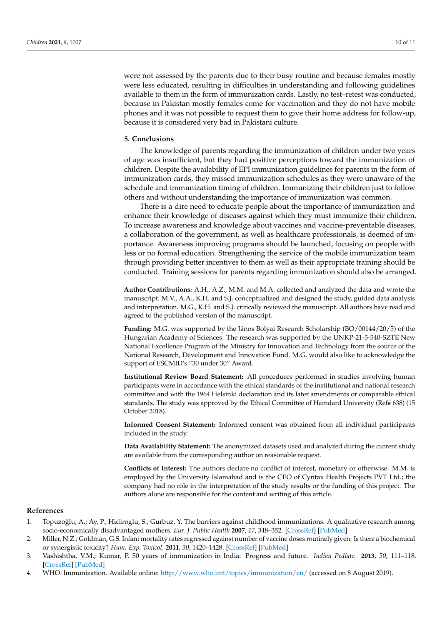were not assessed by the parents due to their busy routine and because females mostly were less educated, resulting in difficulties in understanding and following guidelines available to them in the form of immunization cards. Lastly, no test–retest was conducted, because in Pakistan mostly females come for vaccination and they do not have mobile phones and it was not possible to request them to give their home address for follow-up, because it is considered very bad in Pakistani culture.

#### **5. Conclusions**

The knowledge of parents regarding the immunization of children under two years of age was insufficient, but they had positive perceptions toward the immunization of children. Despite the availability of EPI immunization guidelines for parents in the form of immunization cards, they missed immunization schedules as they were unaware of the schedule and immunization timing of children. Immunizing their children just to follow others and without understanding the importance of immunization was common.

There is a dire need to educate people about the importance of immunization and enhance their knowledge of diseases against which they must immunize their children. To increase awareness and knowledge about vaccines and vaccine-preventable diseases, a collaboration of the government, as well as healthcare professionals, is deemed of importance. Awareness improving programs should be launched, focusing on people with less or no formal education. Strengthening the service of the mobile immunization team through providing better incentives to them as well as their appropriate training should be conducted. Training sessions for parents regarding immunization should also be arranged.

**Author Contributions:** A.H., A.Z., M.M. and M.A. collected and analyzed the data and wrote the manuscript. M.V., A.A., K.H. and S.J. conceptualized and designed the study, guided data analysis and interpretation. M.G., K.H. and S.J. critically reviewed the manuscript. All authors have read and agreed to the published version of the manuscript.

**Funding:** M.G. was supported by the János Bolyai Research Scholarship (BO/00144/20/5) of the Hungarian Academy of Sciences. The research was supported by the ÚNKP-21-5-540-SZTE New National Excellence Program of the Ministry for Innovation and Technology from the source of the National Research, Development and Innovation Fund. M.G. would also like to acknowledge the support of ESCMID's "30 under 30" Award.

**Institutional Review Board Statement:** All procedures performed in studies involving human participants were in accordance with the ethical standards of the institutional and national research committee and with the 1964 Helsinki declaration and its later amendments or comparable ethical standards. The study was approved by the Ethical Committee of Hamdard University (Ref# 638) (15 October 2018).

**Informed Consent Statement:** Informed consent was obtained from all individual participants included in the study.

**Data Availability Statement:** The anonymized datasets used and analyzed during the current study are available from the corresponding author on reasonable request.

**Conflicts of Interest:** The authors declare no conflict of interest, monetary or otherwise. M.M. is employed by the University Islamabad and is the CEO of Cyntax Health Projects PVT Ltd.; the company had no role in the interpretation of the study results or the funding of this project. The authors alone are responsible for the content and writing of this article.

#### **References**

- <span id="page-9-0"></span>1. Topuzoğlu, A.; Ay, P.; Hidiroglu, S.; Gurbuz, Y. The barriers against childhood immunizations: A qualitative research among socio-economically disadvantaged mothers. *Eur. J. Public Health* **2007**, *17*, 348–352. [\[CrossRef\]](http://doi.org/10.1093/eurpub/ckl250) [\[PubMed\]](http://www.ncbi.nlm.nih.gov/pubmed/17090559)
- <span id="page-9-1"></span>2. Miller, N.Z.; Goldman, G.S. Infant mortality rates regressed against number of vaccine doses routinely given: Is there a biochemical or synergistic toxicity? *Hum. Exp. Toxicol.* **2011**, *30*, 1420–1428. [\[CrossRef\]](http://doi.org/10.1177/0960327111407644) [\[PubMed\]](http://www.ncbi.nlm.nih.gov/pubmed/21543527)
- <span id="page-9-2"></span>3. Vashishtha, V.M.; Kumar, P. 50 years of immunization in India: Progress and future. *Indian Pediatr.* **2013**, *50*, 111–118. [\[CrossRef\]](http://doi.org/10.1007/s13312-013-0025-0) [\[PubMed\]](http://www.ncbi.nlm.nih.gov/pubmed/23396784)
- <span id="page-9-3"></span>4. WHO. Immunization. Available online: <http://www.who.imt/topics/immunization/en/> (accessed on 8 August 2019).